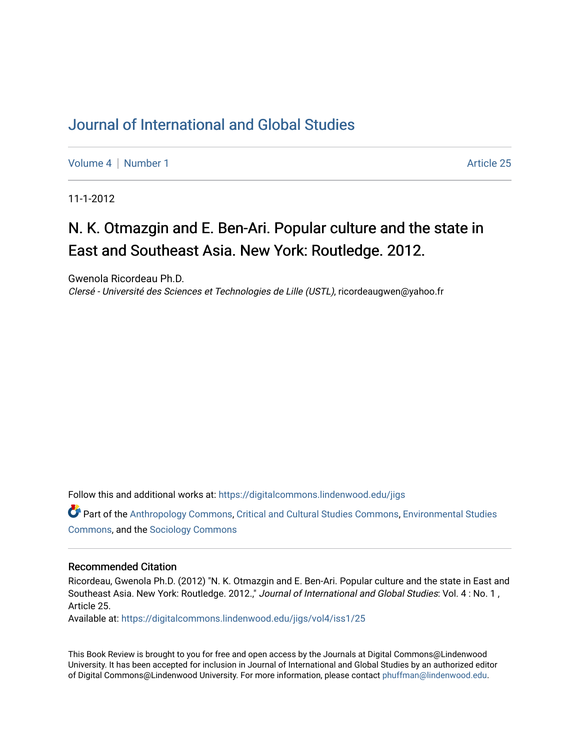# [Journal of International and Global Studies](https://digitalcommons.lindenwood.edu/jigs)

[Volume 4](https://digitalcommons.lindenwood.edu/jigs/vol4) | [Number 1](https://digitalcommons.lindenwood.edu/jigs/vol4/iss1) Article 25

11-1-2012

# N. K. Otmazgin and E. Ben-Ari. Popular culture and the state in East and Southeast Asia. New York: Routledge. 2012.

Gwenola Ricordeau Ph.D. Clersé - Université des Sciences et Technologies de Lille (USTL), ricordeaugwen@yahoo.fr

Follow this and additional works at: [https://digitalcommons.lindenwood.edu/jigs](https://digitalcommons.lindenwood.edu/jigs?utm_source=digitalcommons.lindenwood.edu%2Fjigs%2Fvol4%2Fiss1%2F25&utm_medium=PDF&utm_campaign=PDFCoverPages) 

Part of the [Anthropology Commons](http://network.bepress.com/hgg/discipline/318?utm_source=digitalcommons.lindenwood.edu%2Fjigs%2Fvol4%2Fiss1%2F25&utm_medium=PDF&utm_campaign=PDFCoverPages), [Critical and Cultural Studies Commons](http://network.bepress.com/hgg/discipline/328?utm_source=digitalcommons.lindenwood.edu%2Fjigs%2Fvol4%2Fiss1%2F25&utm_medium=PDF&utm_campaign=PDFCoverPages), [Environmental Studies](http://network.bepress.com/hgg/discipline/1333?utm_source=digitalcommons.lindenwood.edu%2Fjigs%2Fvol4%2Fiss1%2F25&utm_medium=PDF&utm_campaign=PDFCoverPages)  [Commons](http://network.bepress.com/hgg/discipline/1333?utm_source=digitalcommons.lindenwood.edu%2Fjigs%2Fvol4%2Fiss1%2F25&utm_medium=PDF&utm_campaign=PDFCoverPages), and the [Sociology Commons](http://network.bepress.com/hgg/discipline/416?utm_source=digitalcommons.lindenwood.edu%2Fjigs%2Fvol4%2Fiss1%2F25&utm_medium=PDF&utm_campaign=PDFCoverPages)

#### Recommended Citation

Ricordeau, Gwenola Ph.D. (2012) "N. K. Otmazgin and E. Ben-Ari. Popular culture and the state in East and Southeast Asia. New York: Routledge. 2012.," Journal of International and Global Studies: Vol. 4: No. 1, Article 25.

Available at: [https://digitalcommons.lindenwood.edu/jigs/vol4/iss1/25](https://digitalcommons.lindenwood.edu/jigs/vol4/iss1/25?utm_source=digitalcommons.lindenwood.edu%2Fjigs%2Fvol4%2Fiss1%2F25&utm_medium=PDF&utm_campaign=PDFCoverPages) 

This Book Review is brought to you for free and open access by the Journals at Digital Commons@Lindenwood University. It has been accepted for inclusion in Journal of International and Global Studies by an authorized editor of Digital Commons@Lindenwood University. For more information, please contact [phuffman@lindenwood.edu](mailto:phuffman@lindenwood.edu).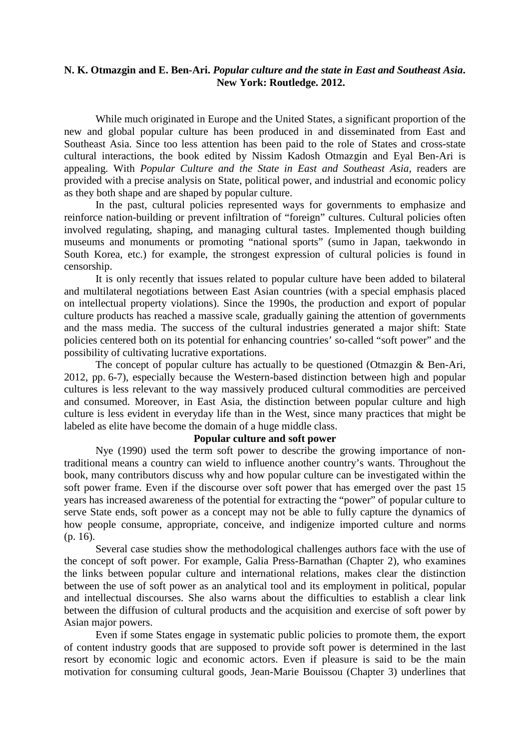### **N. K. Otmazgin and E. Ben-Ari.** *Popular culture and the state in East and Southeast Asia***. New York: Routledge. 2012.**

While much originated in Europe and the United States, a significant proportion of the new and global popular culture has been produced in and disseminated from East and Southeast Asia. Since too less attention has been paid to the role of States and cross-state cultural interactions, the book edited by Nissim Kadosh Otmazgin and Eyal Ben-Ari is appealing. With *Popular Culture and the State in East and Southeast Asia,* readers are provided with a precise analysis on State, political power, and industrial and economic policy as they both shape and are shaped by popular culture.

In the past, cultural policies represented ways for governments to emphasize and reinforce nation-building or prevent infiltration of "foreign" cultures. Cultural policies often involved regulating, shaping, and managing cultural tastes. Implemented though building museums and monuments or promoting "national sports" (sumo in Japan, taekwondo in South Korea, etc.) for example, the strongest expression of cultural policies is found in censorship.

It is only recently that issues related to popular culture have been added to bilateral and multilateral negotiations between East Asian countries (with a special emphasis placed on intellectual property violations). Since the 1990s, the production and export of popular culture products has reached a massive scale, gradually gaining the attention of governments and the mass media. The success of the cultural industries generated a major shift: State policies centered both on its potential for enhancing countries' so-called "soft power" and the possibility of cultivating lucrative exportations.

The concept of popular culture has actually to be questioned (Otmazgin & Ben-Ari, 2012, pp. 6-7), especially because the Western-based distinction between high and popular cultures is less relevant to the way massively produced cultural commodities are perceived and consumed. Moreover, in East Asia, the distinction between popular culture and high culture is less evident in everyday life than in the West, since many practices that might be labeled as elite have become the domain of a huge middle class.

## **Popular culture and soft power**

Nye (1990) used the term soft power to describe the growing importance of nontraditional means a country can wield to influence another country's wants. Throughout the book, many contributors discuss why and how popular culture can be investigated within the soft power frame. Even if the discourse over soft power that has emerged over the past 15 years has increased awareness of the potential for extracting the "power" of popular culture to serve State ends, soft power as a concept may not be able to fully capture the dynamics of how people consume, appropriate, conceive, and indigenize imported culture and norms (p. 16).

Several case studies show the methodological challenges authors face with the use of the concept of soft power. For example, Galia Press-Barnathan (Chapter 2), who examines the links between popular culture and international relations, makes clear the distinction between the use of soft power as an analytical tool and its employment in political, popular and intellectual discourses. She also warns about the difficulties to establish a clear link between the diffusion of cultural products and the acquisition and exercise of soft power by Asian major powers.

Even if some States engage in systematic public policies to promote them, the export of content industry goods that are supposed to provide soft power is determined in the last resort by economic logic and economic actors. Even if pleasure is said to be the main motivation for consuming cultural goods, Jean-Marie Bouissou (Chapter 3) underlines that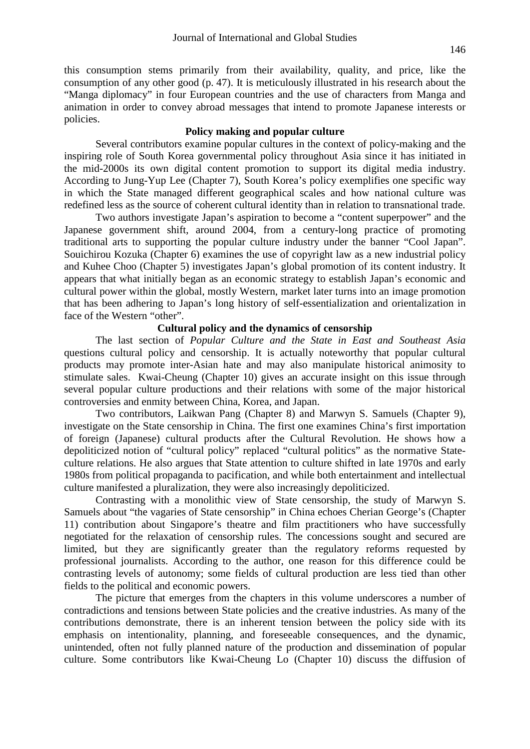this consumption stems primarily from their availability, quality, and price, like the consumption of any other good (p. 47). It is meticulously illustrated in his research about the "Manga diplomacy" in four European countries and the use of characters from Manga and animation in order to convey abroad messages that intend to promote Japanese interests or policies.

#### **Policy making and popular culture**

Several contributors examine popular cultures in the context of policy-making and the inspiring role of South Korea governmental policy throughout Asia since it has initiated in the mid-2000s its own digital content promotion to support its digital media industry. According to Jung-Yup Lee (Chapter 7), South Korea's policy exemplifies one specific way in which the State managed different geographical scales and how national culture was redefined less as the source of coherent cultural identity than in relation to transnational trade.

Two authors investigate Japan's aspiration to become a "content superpower" and the Japanese government shift, around 2004, from a century-long practice of promoting traditional arts to supporting the popular culture industry under the banner "Cool Japan". Souichirou Kozuka (Chapter 6) examines the use of copyright law as a new industrial policy and Kuhee Choo (Chapter 5) investigates Japan's global promotion of its content industry. It appears that what initially began as an economic strategy to establish Japan's economic and cultural power within the global, mostly Western, market later turns into an image promotion that has been adhering to Japan's long history of self-essentialization and orientalization in face of the Western "other".

### **Cultural policy and the dynamics of censorship**

The last section of *Popular Culture and the State in East and Southeast Asia* questions cultural policy and censorship. It is actually noteworthy that popular cultural products may promote inter-Asian hate and may also manipulate historical animosity to stimulate sales. Kwai-Cheung (Chapter 10) gives an accurate insight on this issue through several popular culture productions and their relations with some of the major historical controversies and enmity between China, Korea, and Japan.

Two contributors, Laikwan Pang (Chapter 8) and Marwyn S. Samuels (Chapter 9), investigate on the State censorship in China. The first one examines China's first importation of foreign (Japanese) cultural products after the Cultural Revolution. He shows how a depoliticized notion of "cultural policy" replaced "cultural politics" as the normative Stateculture relations. He also argues that State attention to culture shifted in late 1970s and early 1980s from political propaganda to pacification, and while both entertainment and intellectual culture manifested a pluralization, they were also increasingly depoliticized.

Contrasting with a monolithic view of State censorship, the study of Marwyn S. Samuels about "the vagaries of State censorship" in China echoes Cherian George's (Chapter 11) contribution about Singapore's theatre and film practitioners who have successfully negotiated for the relaxation of censorship rules. The concessions sought and secured are limited, but they are significantly greater than the regulatory reforms requested by professional journalists. According to the author, one reason for this difference could be contrasting levels of autonomy; some fields of cultural production are less tied than other fields to the political and economic powers.

The picture that emerges from the chapters in this volume underscores a number of contradictions and tensions between State policies and the creative industries. As many of the contributions demonstrate, there is an inherent tension between the policy side with its emphasis on intentionality, planning, and foreseeable consequences, and the dynamic, unintended, often not fully planned nature of the production and dissemination of popular culture. Some contributors like Kwai-Cheung Lo (Chapter 10) discuss the diffusion of